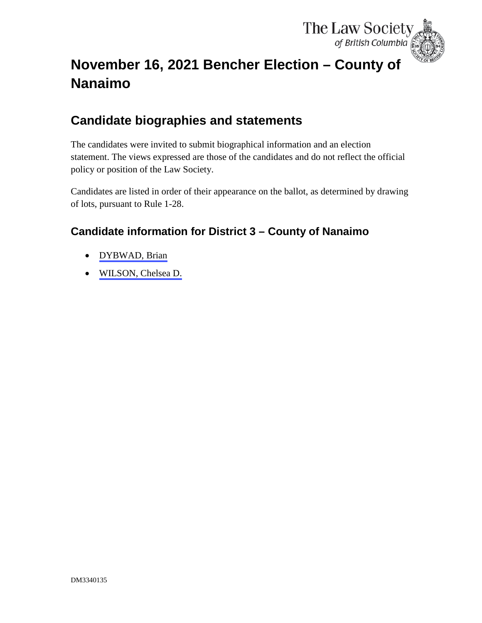

# <span id="page-0-0"></span>**November 16, 2021 Bencher Election – County of Nanaimo**

## **Candidate biographies and statements**

The candidates were invited to submit biographical information and an election statement. The views expressed are those of the candidates and do not reflect the official policy or position of the Law Society.

Candidates are listed in order of their appearance on the ballot, as determined by drawing of lots, pursuant to Rule 1-28.

### **Candidate information for District 3 – County of Nanaimo**

- [DYBWAD, Brian](#page-1-0)
- [WILSON, Chelsea D.](#page-3-0)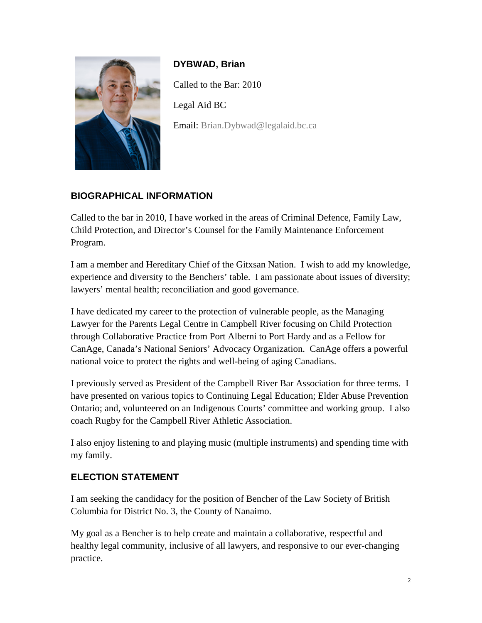<span id="page-1-0"></span>

**DYBWAD, Brian** Called to the Bar: 2010 Legal Aid BC Email: [Brian.Dybwad@legalaid.bc.ca](mailto:Brian.Dybwad@legalaid.bc.ca)

#### **BIOGRAPHICAL INFORMATION**

Called to the bar in 2010, I have worked in the areas of Criminal Defence, Family Law, Child Protection, and Director's Counsel for the Family Maintenance Enforcement Program.

I am a member and Hereditary Chief of the Gitxsan Nation. I wish to add my knowledge, experience and diversity to the Benchers' table. I am passionate about issues of diversity; lawyers' mental health; reconciliation and good governance.

I have dedicated my career to the protection of vulnerable people, as the Managing Lawyer for the Parents Legal Centre in Campbell River focusing on Child Protection through Collaborative Practice from Port Alberni to Port Hardy and as a Fellow for CanAge, Canada's National Seniors' Advocacy Organization. CanAge offers a powerful national voice to protect the rights and well-being of aging Canadians.

I previously served as President of the Campbell River Bar Association for three terms. I have presented on various topics to Continuing Legal Education; Elder Abuse Prevention Ontario; and, volunteered on an Indigenous Courts' committee and working group. I also coach Rugby for the Campbell River Athletic Association.

I also enjoy listening to and playing music (multiple instruments) and spending time with my family.

#### **ELECTION STATEMENT**

I am seeking the candidacy for the position of Bencher of the Law Society of British Columbia for District No. 3, the County of Nanaimo.

My goal as a Bencher is to help create and maintain a collaborative, respectful and healthy legal community, inclusive of all lawyers, and responsive to our ever-changing practice.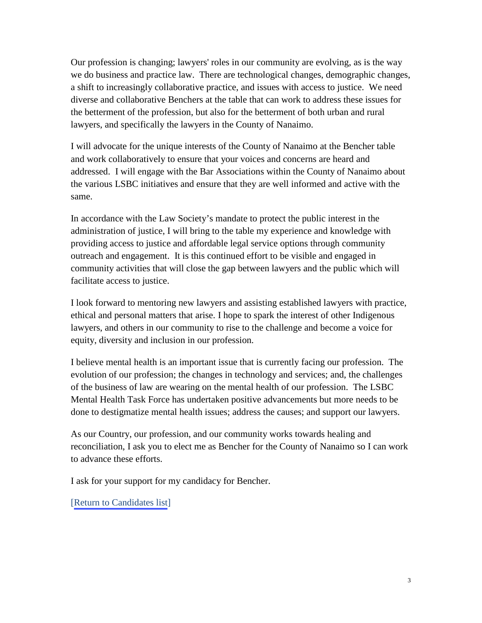Our profession is changing; lawyers' roles in our community are evolving, as is the way we do business and practice law. There are technological changes, demographic changes, a shift to increasingly collaborative practice, and issues with access to justice. We need diverse and collaborative Benchers at the table that can work to address these issues for the betterment of the profession, but also for the betterment of both urban and rural lawyers, and specifically the lawyers in the County of Nanaimo.

I will advocate for the unique interests of the County of Nanaimo at the Bencher table and work collaboratively to ensure that your voices and concerns are heard and addressed. I will engage with the Bar Associations within the County of Nanaimo about the various LSBC initiatives and ensure that they are well informed and active with the same.

In accordance with the Law Society's mandate to protect the public interest in the administration of justice, I will bring to the table my experience and knowledge with providing access to justice and affordable legal service options through community outreach and engagement. It is this continued effort to be visible and engaged in community activities that will close the gap between lawyers and the public which will facilitate access to justice.

I look forward to mentoring new lawyers and assisting established lawyers with practice, ethical and personal matters that arise. I hope to spark the interest of other Indigenous lawyers, and others in our community to rise to the challenge and become a voice for equity, diversity and inclusion in our profession.

I believe mental health is an important issue that is currently facing our profession. The evolution of our profession; the changes in technology and services; and, the challenges of the business of law are wearing on the mental health of our profession. The LSBC Mental Health Task Force has undertaken positive advancements but more needs to be done to destigmatize mental health issues; address the causes; and support our lawyers.

As our Country, our profession, and our community works towards healing and reconciliation, I ask you to elect me as Bencher for the County of Nanaimo so I can work to advance these efforts.

I ask for your support for my candidacy for Bencher.

[[Return to Candidates list](#page-0-0)]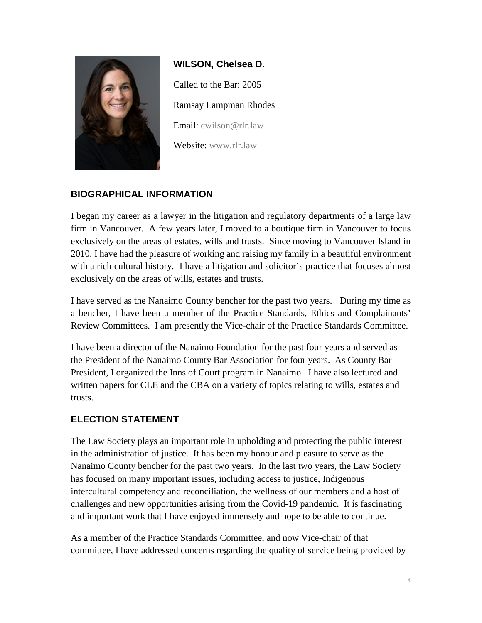<span id="page-3-0"></span>

**WILSON, Chelsea D.** Called to the Bar: 2005 Ramsay Lampman Rhodes Email: [cwilson@rlr.law](mailto:cwilson@rlr.law) Website: [www.rlr.law](http://www.rlr.law/)

#### **BIOGRAPHICAL INFORMATION**

I began my career as a lawyer in the litigation and regulatory departments of a large law firm in Vancouver. A few years later, I moved to a boutique firm in Vancouver to focus exclusively on the areas of estates, wills and trusts. Since moving to Vancouver Island in 2010, I have had the pleasure of working and raising my family in a beautiful environment with a rich cultural history. I have a litigation and solicitor's practice that focuses almost exclusively on the areas of wills, estates and trusts.

I have served as the Nanaimo County bencher for the past two years. During my time as a bencher, I have been a member of the Practice Standards, Ethics and Complainants' Review Committees. I am presently the Vice-chair of the Practice Standards Committee.

I have been a director of the Nanaimo Foundation for the past four years and served as the President of the Nanaimo County Bar Association for four years. As County Bar President, I organized the Inns of Court program in Nanaimo. I have also lectured and written papers for CLE and the CBA on a variety of topics relating to wills, estates and trusts.

#### **ELECTION STATEMENT**

The Law Society plays an important role in upholding and protecting the public interest in the administration of justice. It has been my honour and pleasure to serve as the Nanaimo County bencher for the past two years. In the last two years, the Law Society has focused on many important issues, including access to justice, Indigenous intercultural competency and reconciliation, the wellness of our members and a host of challenges and new opportunities arising from the Covid-19 pandemic. It is fascinating and important work that I have enjoyed immensely and hope to be able to continue.

As a member of the Practice Standards Committee, and now Vice-chair of that committee, I have addressed concerns regarding the quality of service being provided by